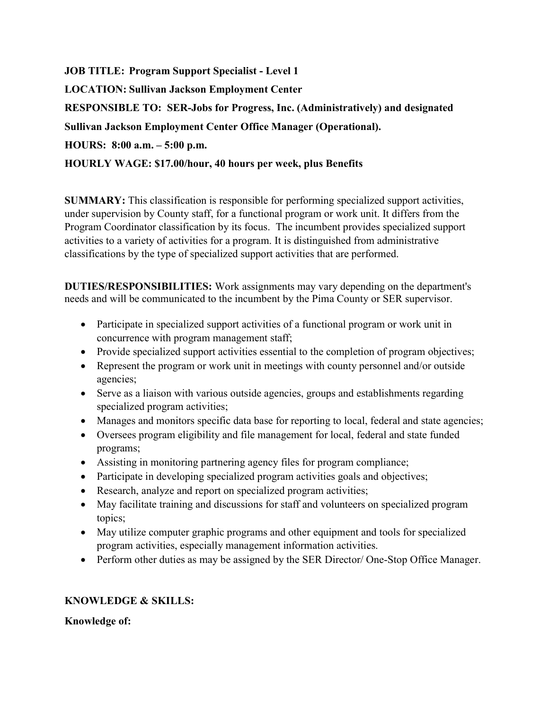JOB TITLE: Program Support Specialist - Level 1 LOCATION: Sullivan Jackson Employment Center RESPONSIBLE TO: SER-Jobs for Progress, Inc. (Administratively) and designated Sullivan Jackson Employment Center Office Manager (Operational). HOURS: 8:00 a.m. – 5:00 p.m. HOURLY WAGE: \$17.00/hour, 40 hours per week, plus Benefits

SUMMARY: This classification is responsible for performing specialized support activities, under supervision by County staff, for a functional program or work unit. It differs from the Program Coordinator classification by its focus. The incumbent provides specialized support activities to a variety of activities for a program. It is distinguished from administrative classifications by the type of specialized support activities that are performed.

DUTIES/RESPONSIBILITIES: Work assignments may vary depending on the department's needs and will be communicated to the incumbent by the Pima County or SER supervisor.

- Participate in specialized support activities of a functional program or work unit in concurrence with program management staff;
- Provide specialized support activities essential to the completion of program objectives;
- Represent the program or work unit in meetings with county personnel and/or outside agencies;
- Serve as a liaison with various outside agencies, groups and establishments regarding specialized program activities;
- Manages and monitors specific data base for reporting to local, federal and state agencies;
- Oversees program eligibility and file management for local, federal and state funded programs;
- Assisting in monitoring partnering agency files for program compliance;
- Participate in developing specialized program activities goals and objectives;
- Research, analyze and report on specialized program activities;
- May facilitate training and discussions for staff and volunteers on specialized program topics;
- May utilize computer graphic programs and other equipment and tools for specialized program activities, especially management information activities.
- Perform other duties as may be assigned by the SER Director/One-Stop Office Manager.

## KNOWLEDGE & SKILLS:

Knowledge of: